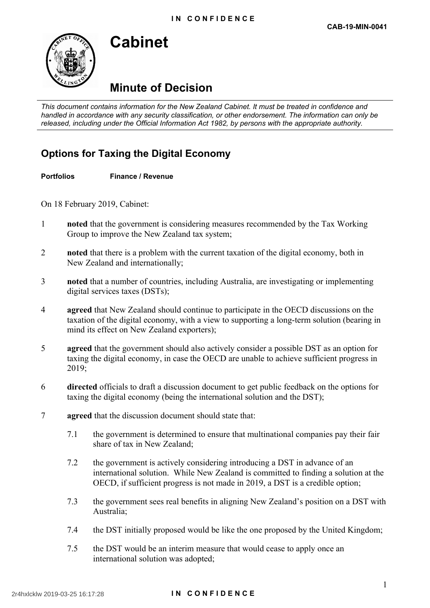

# **Cabinet**

## **Minute of Decision**

 *This document contains information for the New Zealand Cabinet. It must be treated in confidence and handled in accordance with any security classification, or other endorsement. The information can only be released, including under the Official Information Act 1982, by persons with the appropriate authority.* 

### **Options for Taxing the Digital Economy**

### **Portfolios Finance / Revenue**

On 18 February 2019, Cabinet:

- 1 **noted** that the government is considering measures recommended by the Tax Working Group to improve the New Zealand tax system;
- 2 **noted** that there is a problem with the current taxation of the digital economy, both in New Zealand and internationally;
- 3 **noted** that a number of countries, including Australia, are investigating or implementing digital services taxes (DSTs);
- 4 **a reed** that New Zealand should continue to participate in the OECD discussions on the taxation of the digital economy, with a view to supporting a long-term solution (bearing in mind its effect on New Zealand exporters);
- 5 **a reed** that the government should also actively consider a possible DST as an option for taxing the digital economy, in case the OECD are unable to achieve sufficient progress in 2019;
- 6 **directed** officials to draft a discussion document to get public feedback on the options for taxing the digital economy (being the international solution and the DST);
- 7 **agreed** that the discussion document should state that:
	- 7.1 the government is determined to ensure that multinational companies pay their fair share of tax in New Zealand;
	- 7.2 the government is actively considering introducing a DST in advance of an international solution. While New Zealand is committed to finding a solution at the OECD, if sufficient progress is not made in 2019, a DST is a credible option;
	- 7.3 the government sees real benefits in aligning New Zealand's position on a DST with Australia;
	- 7.4 the DST initially proposed would be like the one proposed by the United Kingdom;
	- 7.5 the DST would be an interim measure that would cease to apply once an international solution was adopted;

#### 2r4hxlcklw 2019-03-25 16:17:28 **I N C O N F I D E N C E**